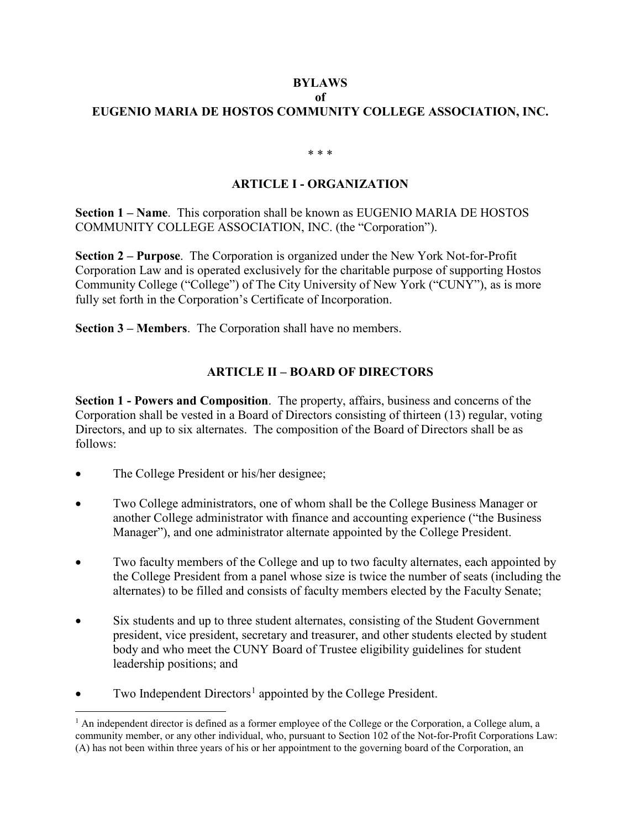## **BYLAWS**

## **of**

# **EUGENIO MARIA DE HOSTOS COMMUNITY COLLEGE ASSOCIATION, INC.**

\* \* \*

## **ARTICLE I - ORGANIZATION**

**Section 1 – Name**. This corporation shall be known as EUGENIO MARIA DE HOSTOS COMMUNITY COLLEGE ASSOCIATION, INC. (the "Corporation").

**Section 2 – Purpose**. The Corporation is organized under the New York Not-for-Profit Corporation Law and is operated exclusively for the charitable purpose of supporting Hostos Community College ("College") of The City University of New York ("CUNY"), as is more fully set forth in the Corporation's Certificate of Incorporation.

**Section 3 – Members**. The Corporation shall have no members.

# **ARTICLE II – BOARD OF DIRECTORS**

**Section 1 - Powers and Composition**. The property, affairs, business and concerns of the Corporation shall be vested in a Board of Directors consisting of thirteen (13) regular, voting Directors, and up to six alternates. The composition of the Board of Directors shall be as follows:

- The College President or his/her designee;
- Two College administrators, one of whom shall be the College Business Manager or another College administrator with finance and accounting experience ("the Business Manager"), and one administrator alternate appointed by the College President.
- Two faculty members of the College and up to two faculty alternates, each appointed by the College President from a panel whose size is twice the number of seats (including the alternates) to be filled and consists of faculty members elected by the Faculty Senate;
- Six students and up to three student alternates, consisting of the Student Government president, vice president, secretary and treasurer, and other students elected by student body and who meet the CUNY Board of Trustee eligibility guidelines for student leadership positions; and
- Two Independent Directors<sup>[1](#page-0-0)</sup> appointed by the College President.

<span id="page-0-0"></span> $<sup>1</sup>$  An independent director is defined as a former employee of the College or the Corporation, a College alum, a</sup> community member, or any other individual, who, pursuant to Section 102 of the Not-for-Profit Corporations Law: (A) has not been within three years of his or her appointment to the governing board of the Corporation, an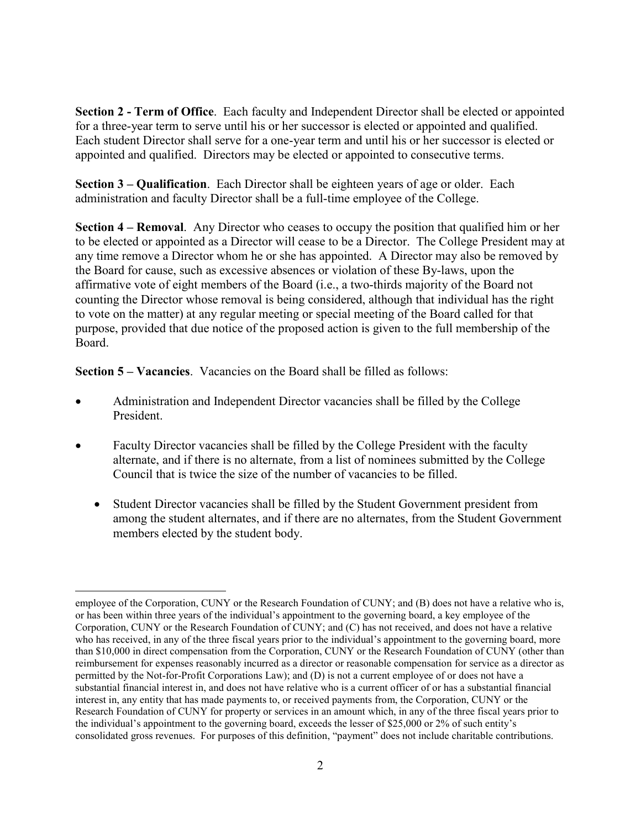**Section 2 - Term of Office**. Each faculty and Independent Director shall be elected or appointed for a three-year term to serve until his or her successor is elected or appointed and qualified. Each student Director shall serve for a one-year term and until his or her successor is elected or appointed and qualified. Directors may be elected or appointed to consecutive terms.

**Section 3 – Qualification**. Each Director shall be eighteen years of age or older. Each administration and faculty Director shall be a full-time employee of the College.

**Section 4 – Removal**. Any Director who ceases to occupy the position that qualified him or her to be elected or appointed as a Director will cease to be a Director. The College President may at any time remove a Director whom he or she has appointed. A Director may also be removed by the Board for cause, such as excessive absences or violation of these By-laws, upon the affirmative vote of eight members of the Board (i.e., a two-thirds majority of the Board not counting the Director whose removal is being considered, although that individual has the right to vote on the matter) at any regular meeting or special meeting of the Board called for that purpose, provided that due notice of the proposed action is given to the full membership of the Board.

**Section 5 – Vacancies**. Vacancies on the Board shall be filled as follows:

- Administration and Independent Director vacancies shall be filled by the College President.
- Faculty Director vacancies shall be filled by the College President with the faculty alternate, and if there is no alternate, from a list of nominees submitted by the College Council that is twice the size of the number of vacancies to be filled.
	- Student Director vacancies shall be filled by the Student Government president from among the student alternates, and if there are no alternates, from the Student Government members elected by the student body.

employee of the Corporation, CUNY or the Research Foundation of CUNY; and (B) does not have a relative who is, or has been within three years of the individual's appointment to the governing board, a key employee of the Corporation, CUNY or the Research Foundation of CUNY; and (C) has not received, and does not have a relative who has received, in any of the three fiscal years prior to the individual's appointment to the governing board, more than \$10,000 in direct compensation from the Corporation, CUNY or the Research Foundation of CUNY (other than reimbursement for expenses reasonably incurred as a director or reasonable compensation for service as a director as permitted by the Not-for-Profit Corporations Law); and (D) is not a current employee of or does not have a substantial financial interest in, and does not have relative who is a current officer of or has a substantial financial interest in, any entity that has made payments to, or received payments from, the Corporation, CUNY or the Research Foundation of CUNY for property or services in an amount which, in any of the three fiscal years prior to the individual's appointment to the governing board, exceeds the lesser of \$25,000 or 2% of such entity's consolidated gross revenues. For purposes of this definition, "payment" does not include charitable contributions.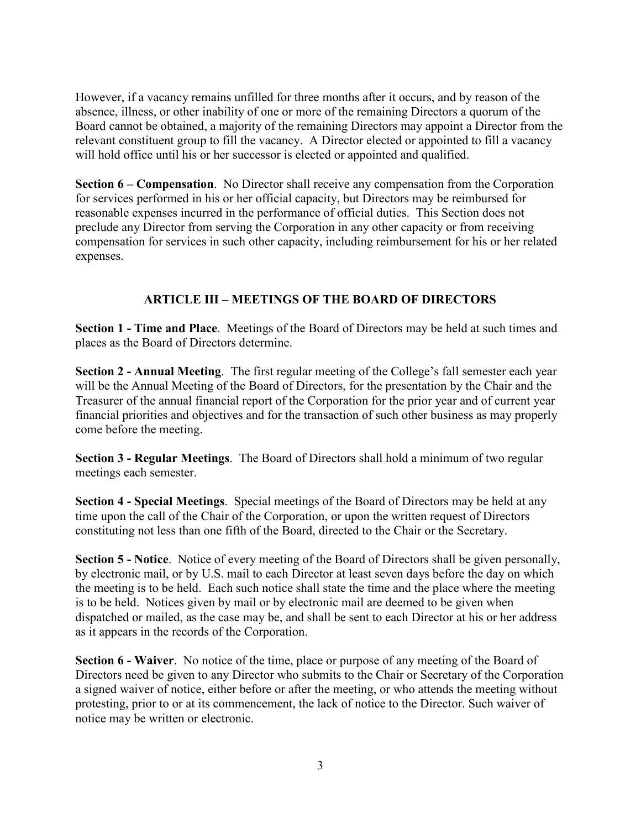However, if a vacancy remains unfilled for three months after it occurs, and by reason of the absence, illness, or other inability of one or more of the remaining Directors a quorum of the Board cannot be obtained, a majority of the remaining Directors may appoint a Director from the relevant constituent group to fill the vacancy. A Director elected or appointed to fill a vacancy will hold office until his or her successor is elected or appointed and qualified.

**Section 6 – Compensation**. No Director shall receive any compensation from the Corporation for services performed in his or her official capacity, but Directors may be reimbursed for reasonable expenses incurred in the performance of official duties. This Section does not preclude any Director from serving the Corporation in any other capacity or from receiving compensation for services in such other capacity, including reimbursement for his or her related expenses.

## **ARTICLE III – MEETINGS OF THE BOARD OF DIRECTORS**

**Section 1 - Time and Place**. Meetings of the Board of Directors may be held at such times and places as the Board of Directors determine.

**Section 2 - Annual Meeting**. The first regular meeting of the College's fall semester each year will be the Annual Meeting of the Board of Directors, for the presentation by the Chair and the Treasurer of the annual financial report of the Corporation for the prior year and of current year financial priorities and objectives and for the transaction of such other business as may properly come before the meeting.

**Section 3 - Regular Meetings**. The Board of Directors shall hold a minimum of two regular meetings each semester.

**Section 4 - Special Meetings**. Special meetings of the Board of Directors may be held at any time upon the call of the Chair of the Corporation, or upon the written request of Directors constituting not less than one fifth of the Board, directed to the Chair or the Secretary.

**Section 5 - Notice**. Notice of every meeting of the Board of Directors shall be given personally, by electronic mail, or by U.S. mail to each Director at least seven days before the day on which the meeting is to be held. Each such notice shall state the time and the place where the meeting is to be held. Notices given by mail or by electronic mail are deemed to be given when dispatched or mailed, as the case may be, and shall be sent to each Director at his or her address as it appears in the records of the Corporation.

**Section 6 - Waiver**. No notice of the time, place or purpose of any meeting of the Board of Directors need be given to any Director who submits to the Chair or Secretary of the Corporation a signed waiver of notice, either before or after the meeting, or who attends the meeting without protesting, prior to or at its commencement, the lack of notice to the Director. Such waiver of notice may be written or electronic.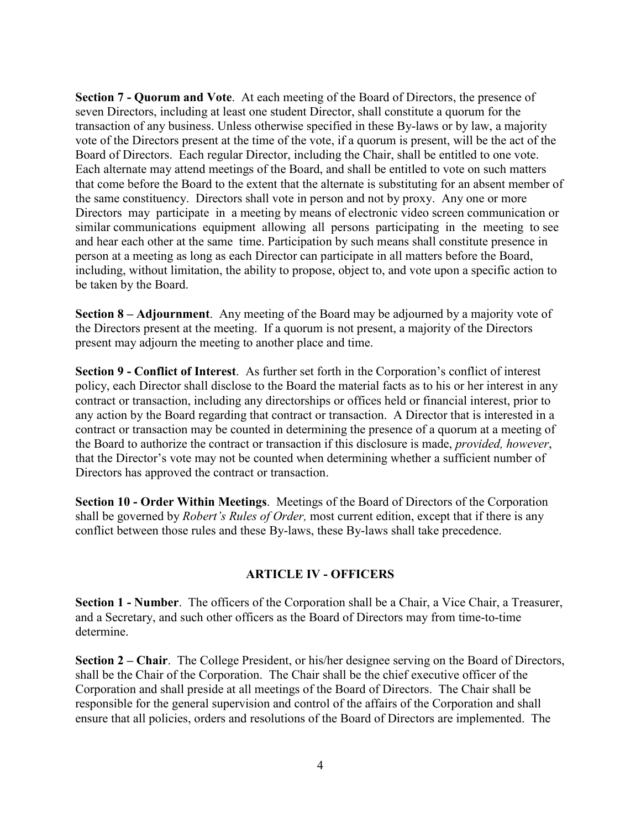**Section 7 - Quorum and Vote**. At each meeting of the Board of Directors, the presence of seven Directors, including at least one student Director, shall constitute a quorum for the transaction of any business. Unless otherwise specified in these By-laws or by law, a majority vote of the Directors present at the time of the vote, if a quorum is present, will be the act of the Board of Directors. Each regular Director, including the Chair, shall be entitled to one vote. Each alternate may attend meetings of the Board, and shall be entitled to vote on such matters that come before the Board to the extent that the alternate is substituting for an absent member of the same constituency. Directors shall vote in person and not by proxy. Any one or more Directors may participate in a meeting by means of electronic video screen communication or similar communications equipment allowing all persons participating in the meeting to see and hear each other at the same time. Participation by such means shall constitute presence in person at a meeting as long as each Director can participate in all matters before the Board, including, without limitation, the ability to propose, object to, and vote upon a specific action to be taken by the Board.

**Section 8 – Adjournment**. Any meeting of the Board may be adjourned by a majority vote of the Directors present at the meeting. If a quorum is not present, a majority of the Directors present may adjourn the meeting to another place and time.

**Section 9 - Conflict of Interest**. As further set forth in the Corporation's conflict of interest policy, each Director shall disclose to the Board the material facts as to his or her interest in any contract or transaction, including any directorships or offices held or financial interest, prior to any action by the Board regarding that contract or transaction. A Director that is interested in a contract or transaction may be counted in determining the presence of a quorum at a meeting of the Board to authorize the contract or transaction if this disclosure is made, *provided, however*, that the Director's vote may not be counted when determining whether a sufficient number of Directors has approved the contract or transaction.

**Section 10 - Order Within Meetings**. Meetings of the Board of Directors of the Corporation shall be governed by *Robert's Rules of Order,* most current edition, except that if there is any conflict between those rules and these By-laws, these By-laws shall take precedence.

### **ARTICLE IV - OFFICERS**

**Section 1 - Number**. The officers of the Corporation shall be a Chair, a Vice Chair, a Treasurer, and a Secretary, and such other officers as the Board of Directors may from time-to-time determine.

**Section 2 – Chair**. The College President, or his/her designee serving on the Board of Directors, shall be the Chair of the Corporation. The Chair shall be the chief executive officer of the Corporation and shall preside at all meetings of the Board of Directors. The Chair shall be responsible for the general supervision and control of the affairs of the Corporation and shall ensure that all policies, orders and resolutions of the Board of Directors are implemented. The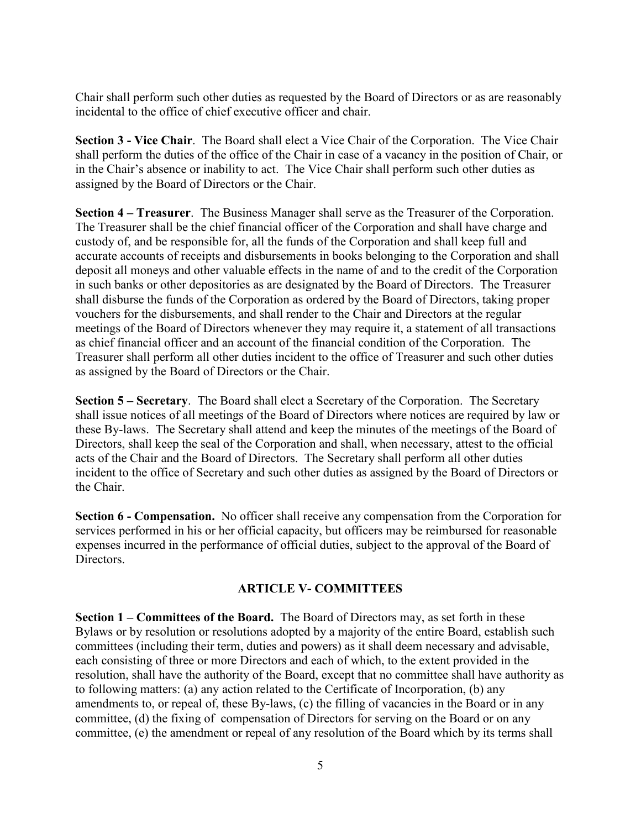Chair shall perform such other duties as requested by the Board of Directors or as are reasonably incidental to the office of chief executive officer and chair.

**Section 3 - Vice Chair**. The Board shall elect a Vice Chair of the Corporation. The Vice Chair shall perform the duties of the office of the Chair in case of a vacancy in the position of Chair, or in the Chair's absence or inability to act. The Vice Chair shall perform such other duties as assigned by the Board of Directors or the Chair.

**Section 4 – Treasurer**. The Business Manager shall serve as the Treasurer of the Corporation. The Treasurer shall be the chief financial officer of the Corporation and shall have charge and custody of, and be responsible for, all the funds of the Corporation and shall keep full and accurate accounts of receipts and disbursements in books belonging to the Corporation and shall deposit all moneys and other valuable effects in the name of and to the credit of the Corporation in such banks or other depositories as are designated by the Board of Directors. The Treasurer shall disburse the funds of the Corporation as ordered by the Board of Directors, taking proper vouchers for the disbursements, and shall render to the Chair and Directors at the regular meetings of the Board of Directors whenever they may require it, a statement of all transactions as chief financial officer and an account of the financial condition of the Corporation. The Treasurer shall perform all other duties incident to the office of Treasurer and such other duties as assigned by the Board of Directors or the Chair.

**Section 5 – Secretary**. The Board shall elect a Secretary of the Corporation. The Secretary shall issue notices of all meetings of the Board of Directors where notices are required by law or these By-laws. The Secretary shall attend and keep the minutes of the meetings of the Board of Directors, shall keep the seal of the Corporation and shall, when necessary, attest to the official acts of the Chair and the Board of Directors. The Secretary shall perform all other duties incident to the office of Secretary and such other duties as assigned by the Board of Directors or the Chair.

**Section 6 - Compensation.** No officer shall receive any compensation from the Corporation for services performed in his or her official capacity, but officers may be reimbursed for reasonable expenses incurred in the performance of official duties, subject to the approval of the Board of Directors.

#### **ARTICLE V- COMMITTEES**

**Section 1 – Committees of the Board.** The Board of Directors may, as set forth in these Bylaws or by resolution or resolutions adopted by a majority of the entire Board, establish such committees (including their term, duties and powers) as it shall deem necessary and advisable, each consisting of three or more Directors and each of which, to the extent provided in the resolution, shall have the authority of the Board, except that no committee shall have authority as to following matters: (a) any action related to the Certificate of Incorporation, (b) any amendments to, or repeal of, these By-laws, (c) the filling of vacancies in the Board or in any committee, (d) the fixing of compensation of Directors for serving on the Board or on any committee, (e) the amendment or repeal of any resolution of the Board which by its terms shall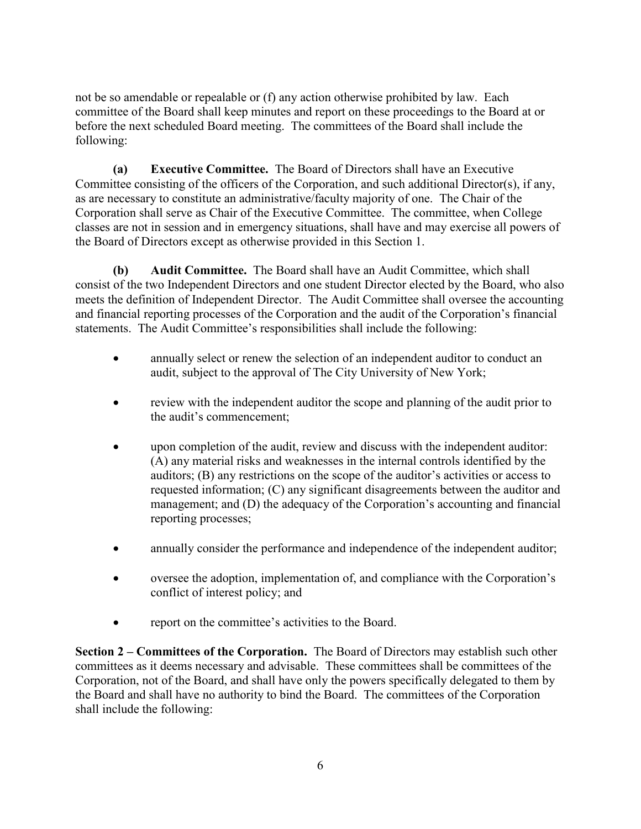not be so amendable or repealable or (f) any action otherwise prohibited by law. Each committee of the Board shall keep minutes and report on these proceedings to the Board at or before the next scheduled Board meeting. The committees of the Board shall include the following:

**(a) Executive Committee.** The Board of Directors shall have an Executive Committee consisting of the officers of the Corporation, and such additional Director(s), if any, as are necessary to constitute an administrative/faculty majority of one. The Chair of the Corporation shall serve as Chair of the Executive Committee. The committee, when College classes are not in session and in emergency situations, shall have and may exercise all powers of the Board of Directors except as otherwise provided in this Section 1.

**(b) Audit Committee.** The Board shall have an Audit Committee, which shall consist of the two Independent Directors and one student Director elected by the Board, who also meets the definition of Independent Director. The Audit Committee shall oversee the accounting and financial reporting processes of the Corporation and the audit of the Corporation's financial statements. The Audit Committee's responsibilities shall include the following:

- annually select or renew the selection of an independent auditor to conduct an audit, subject to the approval of The City University of New York;
- review with the independent auditor the scope and planning of the audit prior to the audit's commencement;
- upon completion of the audit, review and discuss with the independent auditor: (A) any material risks and weaknesses in the internal controls identified by the auditors; (B) any restrictions on the scope of the auditor's activities or access to requested information; (C) any significant disagreements between the auditor and management; and (D) the adequacy of the Corporation's accounting and financial reporting processes;
- annually consider the performance and independence of the independent auditor;
- oversee the adoption, implementation of, and compliance with the Corporation's conflict of interest policy; and
- report on the committee's activities to the Board.

**Section 2 – Committees of the Corporation.** The Board of Directors may establish such other committees as it deems necessary and advisable. These committees shall be committees of the Corporation, not of the Board, and shall have only the powers specifically delegated to them by the Board and shall have no authority to bind the Board. The committees of the Corporation shall include the following: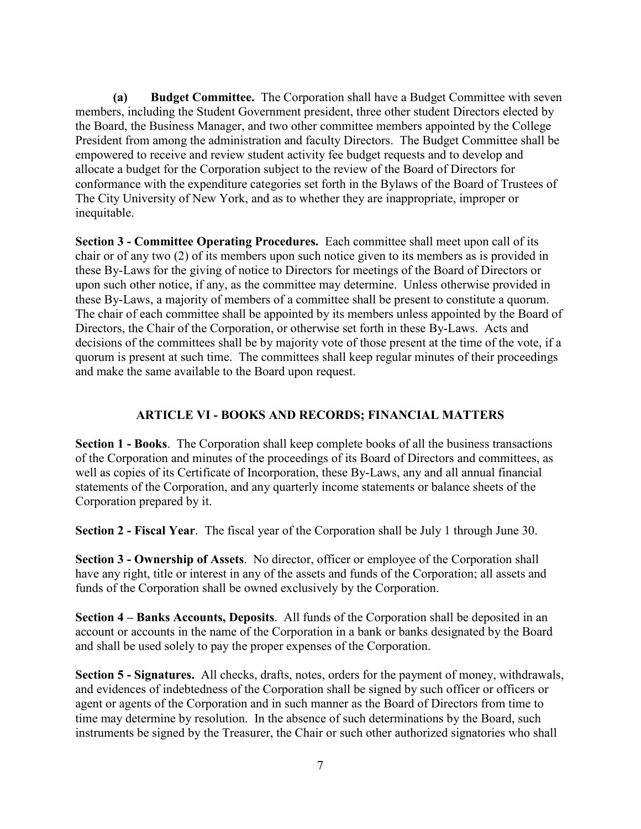**(a) Budget Committee.** The Corporation shall have a Budget Committee with seven members, including the Student Government president, three other student Directors elected by the Board, the Business Manager, and two other committee members appointed by the College President from among the administration and faculty Directors. The Budget Committee shall be empowered to receive and review student activity fee budget requests and to develop and allocate a budget for the Corporation subject to the review of the Board of Directors for conformance with the expenditure categories set forth in the Bylaws of the Board of Trustees of The City University of New York, and as to whether they are inappropriate, improper or inequitable.

**Section 3 - Committee Operating Procedures.** Each committee shall meet upon call of its chair or of any two (2) of its members upon such notice given to its members as is provided in these By-Laws for the giving of notice to Directors for meetings of the Board of Directors or upon such other notice, if any, as the committee may determine. Unless otherwise provided in these By-Laws, a majority of members of a committee shall be present to constitute a quorum. The chair of each committee shall be appointed by its members unless appointed by the Board of Directors, the Chair of the Corporation, or otherwise set forth in these By-Laws. Acts and decisions of the committees shall be by majority vote of those present at the time of the vote, if a quorum is present at such time. The committees shall keep regular minutes of their proceedings and make the same available to the Board upon request.

### **ARTICLE VI - BOOKS AND RECORDS; FINANCIAL MATTERS**

**Section 1 - Books**. The Corporation shall keep complete books of all the business transactions of the Corporation and minutes of the proceedings of its Board of Directors and committees, as well as copies of its Certificate of Incorporation, these By-Laws, any and all annual financial statements of the Corporation, and any quarterly income statements or balance sheets of the Corporation prepared by it.

**Section 2 - Fiscal Year**. The fiscal year of the Corporation shall be July 1 through June 30.

**Section 3 - Ownership of Assets**. No director, officer or employee of the Corporation shall have any right, title or interest in any of the assets and funds of the Corporation; all assets and funds of the Corporation shall be owned exclusively by the Corporation.

**Section 4 – Banks Accounts, Deposits**. All funds of the Corporation shall be deposited in an account or accounts in the name of the Corporation in a bank or banks designated by the Board and shall be used solely to pay the proper expenses of the Corporation.

**Section 5 - Signatures.** All checks, drafts, notes, orders for the payment of money, withdrawals, and evidences of indebtedness of the Corporation shall be signed by such officer or officers or agent or agents of the Corporation and in such manner as the Board of Directors from time to time may determine by resolution. In the absence of such determinations by the Board, such instruments be signed by the Treasurer, the Chair or such other authorized signatories who shall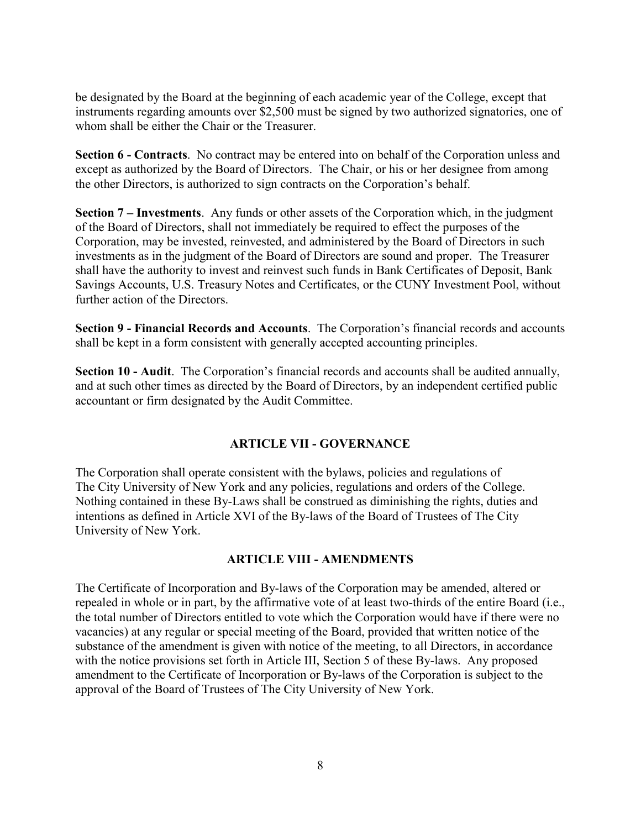be designated by the Board at the beginning of each academic year of the College, except that instruments regarding amounts over \$2,500 must be signed by two authorized signatories, one of whom shall be either the Chair or the Treasurer.

**Section 6 - Contracts**. No contract may be entered into on behalf of the Corporation unless and except as authorized by the Board of Directors. The Chair, or his or her designee from among the other Directors, is authorized to sign contracts on the Corporation's behalf.

**Section 7 – Investments**. Any funds or other assets of the Corporation which, in the judgment of the Board of Directors, shall not immediately be required to effect the purposes of the Corporation, may be invested, reinvested, and administered by the Board of Directors in such investments as in the judgment of the Board of Directors are sound and proper. The Treasurer shall have the authority to invest and reinvest such funds in Bank Certificates of Deposit, Bank Savings Accounts, U.S. Treasury Notes and Certificates, or the CUNY Investment Pool, without further action of the Directors.

**Section 9 - Financial Records and Accounts**. The Corporation's financial records and accounts shall be kept in a form consistent with generally accepted accounting principles.

**Section 10 - Audit**. The Corporation's financial records and accounts shall be audited annually, and at such other times as directed by the Board of Directors, by an independent certified public accountant or firm designated by the Audit Committee.

### **ARTICLE VII - GOVERNANCE**

The Corporation shall operate consistent with the bylaws, policies and regulations of The City University of New York and any policies, regulations and orders of the College. Nothing contained in these By-Laws shall be construed as diminishing the rights, duties and intentions as defined in Article XVI of the By-laws of the Board of Trustees of The City University of New York.

### **ARTICLE VIII - AMENDMENTS**

The Certificate of Incorporation and By-laws of the Corporation may be amended, altered or repealed in whole or in part, by the affirmative vote of at least two-thirds of the entire Board (i.e., the total number of Directors entitled to vote which the Corporation would have if there were no vacancies) at any regular or special meeting of the Board, provided that written notice of the substance of the amendment is given with notice of the meeting, to all Directors, in accordance with the notice provisions set forth in Article III, Section 5 of these By-laws. Any proposed amendment to the Certificate of Incorporation or By-laws of the Corporation is subject to the approval of the Board of Trustees of The City University of New York.